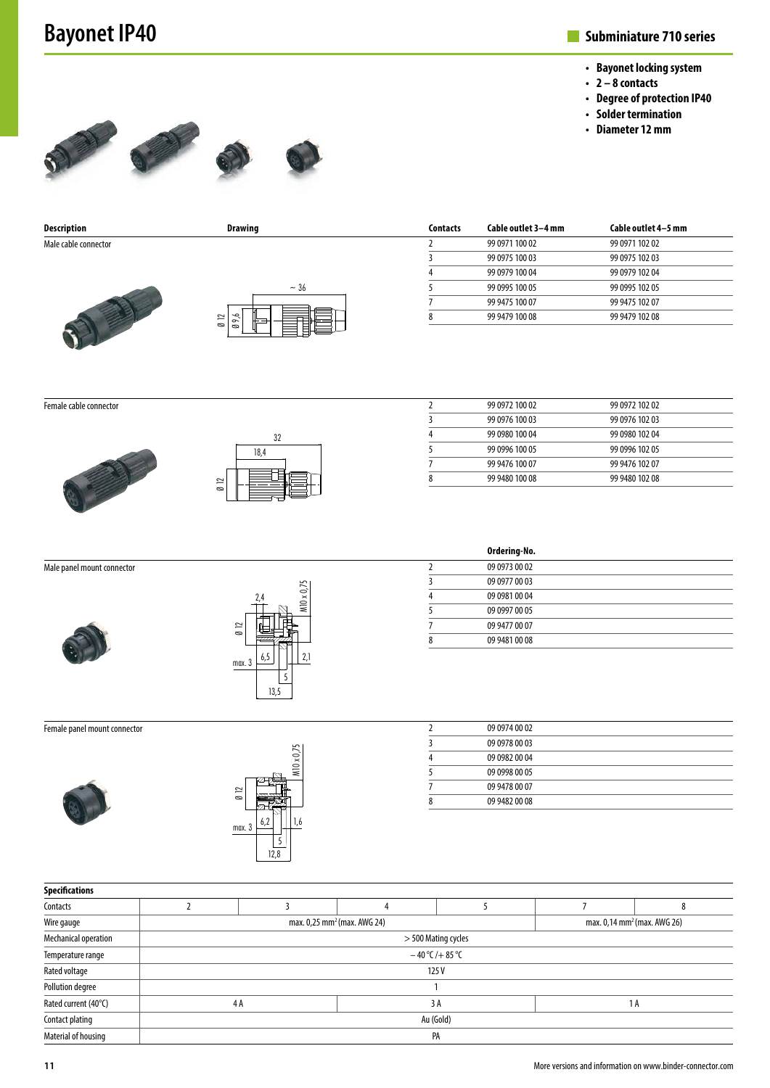## **Bayonet IP40**

## **Subminiature 710 series**

- **• Bayonet locking system**
- **• 2 8 contacts**
- **• Degree of protection IP40**
- **• Solder termination**
- **• Diameter 12 mm**



**Contacts Cable outlet 3–4 mm Cable outlet 4–5 mm** 2 99 0971 100 02 99 0971 102 02 3 99 0975 100 03 99 0975 102 03 4 99 0979 100 04 99 0979 102 04 5 99 0995 100 05 99 0995 102 05 7 99 9475 100 07 99 9475 102 07 8 99 9479 100 08 99 9479 102 08 **Description Drawing** Male cable connector  $~1.36$ Ø 12

Female cable connector





Ø 9,6

| 2 | 99 0972 100 02 | 99 0972 102 02 |  |
|---|----------------|----------------|--|
| 3 | 99 0976 100 03 | 99 0976 102 03 |  |
| 4 | 99 0980 100 04 | 99 0980 102 04 |  |
| 5 | 99 0996 100 05 | 99 0996 102 05 |  |
|   | 99 9476 100 07 | 99 9476 102 07 |  |
| 8 | 99 9480 100 08 | 99 9480 102 08 |  |
|   |                |                |  |

| Male panel mount connector |           |
|----------------------------|-----------|
|                            | 2,4       |
|                            | 012       |
|                            | 6.<br>may |

|        | 2,4  |   | $M10 \times 0.75$ |  |
|--------|------|---|-------------------|--|
| 012    |      |   |                   |  |
| max. 3 | 6,5  |   | 2,1               |  |
|        | 13,5 | 5 |                   |  |

## 2 09 0973 00 02 3 09 0977 00 03 4 09 0981 00 04 5 09 0997 00 05 7 09 9477 00 07 8 09 9481 00 08

**Ordering-No.**

Female panel mount connector





| 09 0974 00 02 |  |
|---------------|--|
| 09 0978 00 03 |  |
| 09 0982 00 04 |  |
| 09 0998 00 05 |  |
| 09 9478 00 07 |  |
| 09 9482 00 08 |  |
|               |  |

| <b>Specifications</b> |                                                                                    |  |    |  |     |   |
|-----------------------|------------------------------------------------------------------------------------|--|----|--|-----|---|
| Contacts              |                                                                                    |  |    |  |     | 8 |
| Wire gauge            | max. 0,25 mm <sup>2</sup> (max. AWG 24)<br>max. 0,14 mm <sup>2</sup> (max. AWG 26) |  |    |  |     |   |
| Mechanical operation  | > 500 Mating cycles                                                                |  |    |  |     |   |
| Temperature range     | $-40$ °C/+85 °C                                                                    |  |    |  |     |   |
| Rated voltage         | 125V                                                                               |  |    |  |     |   |
| Pollution degree      |                                                                                    |  |    |  |     |   |
| Rated current (40°C)  | 4A                                                                                 |  | 3A |  | 1 A |   |
| Contact plating       | Au (Gold)                                                                          |  |    |  |     |   |
| Material of housing   | PA                                                                                 |  |    |  |     |   |